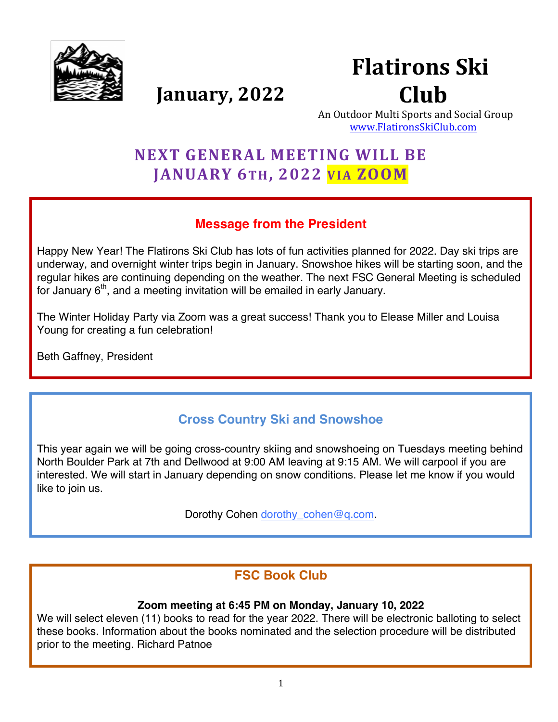

# **Flatirons Ski** Club

**January, 2022** 

An Outdoor Multi Sports and Social Group www.FlatironsSkiClub.com

## **NEXT GENERAL MEETING WILL BE JANUARY 6TH, 2022 VIA ZOOM**

## **Message from the President**

Happy New Year! The Flatirons Ski Club has lots of fun activities planned for 2022. Day ski trips are underway, and overnight winter trips begin in January. Snowshoe hikes will be starting soon, and the regular hikes are continuing depending on the weather. The next FSC General Meeting is scheduled for January  $6<sup>th</sup>$ , and a meeting invitation will be emailed in early January.

The Winter Holiday Party via Zoom was a great success! Thank you to Elease Miller and Louisa Young for creating a fun celebration!

Beth Gaffney, President

## **Cross Country Ski and Snowshoe**

This year again we will be going cross-country skiing and snowshoeing on Tuesdays meeting behind North Boulder Park at 7th and Dellwood at 9:00 AM leaving at 9:15 AM. We will carpool if you are interested. We will start in January depending on snow conditions. Please let me know if you would like to join us.

Dorothy Cohen dorothy cohen@q.com.

## **FSC Book Club**

#### **Zoom meeting at 6:45 PM on Monday, January 10, 2022**

We will select eleven (11) books to read for the year 2022. There will be electronic balloting to select these books. Information about the books nominated and the selection procedure will be distributed prior to the meeting. Richard Patnoe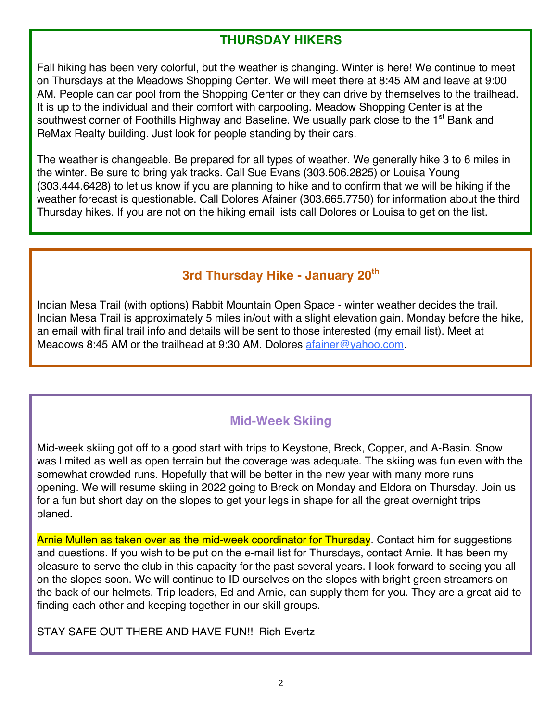## **THURSDAY HIKERS**

Fall hiking has been very colorful, but the weather is changing. Winter is here! We continue to meet on Thursdays at the Meadows Shopping Center. We will meet there at 8:45 AM and leave at 9:00 AM. People can car pool from the Shopping Center or they can drive by themselves to the trailhead. It is up to the individual and their comfort with carpooling. Meadow Shopping Center is at the southwest corner of Foothills Highway and Baseline. We usually park close to the 1<sup>st</sup> Bank and ReMax Realty building. Just look for people standing by their cars.

The weather is changeable. Be prepared for all types of weather. We generally hike 3 to 6 miles in the winter. Be sure to bring yak tracks. Call Sue Evans (303.506.2825) or Louisa Young (303.444.6428) to let us know if you are planning to hike and to confirm that we will be hiking if the weather forecast is questionable. Call Dolores Afainer (303.665.7750) for information about the third Thursday hikes. If you are not on the hiking email lists call Dolores or Louisa to get on the list.

## **3rd Thursday Hike - January 20th**

Indian Mesa Trail (with options) Rabbit Mountain Open Space - winter weather decides the trail. Indian Mesa Trail is approximately 5 miles in/out with a slight elevation gain. Monday before the hike, an email with final trail info and details will be sent to those interested (my email list). Meet at Meadows 8:45 AM or the trailhead at 9:30 AM. Dolores afainer@yahoo.com.

## **Mid-Week Skiing**

Mid-week skiing got off to a good start with trips to Keystone, Breck, Copper, and A-Basin. Snow was limited as well as open terrain but the coverage was adequate. The skiing was fun even with the somewhat crowded runs. Hopefully that will be better in the new year with many more runs opening. We will resume skiing in 2022 going to Breck on Monday and Eldora on Thursday. Join us for a fun but short day on the slopes to get your legs in shape for all the great overnight trips planed.

Arnie Mullen as taken over as the mid-week coordinator for Thursday. Contact him for suggestions and questions. If you wish to be put on the e-mail list for Thursdays, contact Arnie. It has been my pleasure to serve the club in this capacity for the past several years. I look forward to seeing you all on the slopes soon. We will continue to ID ourselves on the slopes with bright green streamers on the back of our helmets. Trip leaders, Ed and Arnie, can supply them for you. They are a great aid to finding each other and keeping together in our skill groups.

STAY SAFE OUT THERE AND HAVE FUN!! Rich Evertz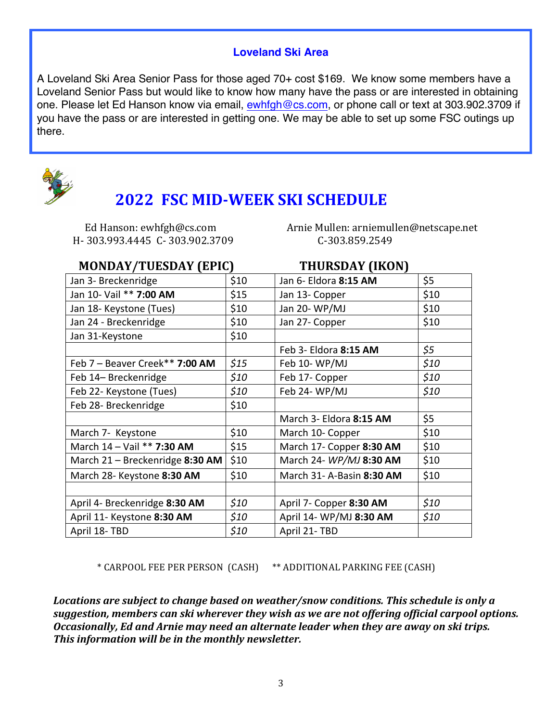#### **Loveland Ski Area**

A Loveland Ski Area Senior Pass for those aged 70+ cost \$169. We know some members have a Loveland Senior Pass but would like to know how many have the pass or are interested in obtaining one. Please let Ed Hanson know via email, ewhigh@cs.com, or phone call or text at 303.902.3709 if you have the pass or are interested in getting one. We may be able to set up some FSC outings up there.



## **2022 FSC MID-WEEK SKI SCHEDULE**

H- 303.993.4445 C- 303.902.3709 C-303.859.2549

 Ed Hanson: ewhfgh@cs.com Arnie Mullen: arniemullen@netscape.net

#### **MONDAY/TUESDAY (EPIC)** THURSDAY (IKON)

| Jan 3- Breckenridge             | \$10 | Jan 6- Eldora 8:15 AM     | \$5  |  |  |
|---------------------------------|------|---------------------------|------|--|--|
| Jan 10- Vail ** 7:00 AM         | \$15 | Jan 13- Copper            | \$10 |  |  |
| Jan 18- Keystone (Tues)         | \$10 | Jan 20-WP/MJ              | \$10 |  |  |
| Jan 24 - Breckenridge           | \$10 | Jan 27- Copper            | \$10 |  |  |
| Jan 31-Keystone                 | \$10 |                           |      |  |  |
|                                 |      | Feb 3- Eldora 8:15 AM     | \$5  |  |  |
| Feb 7 - Beaver Creek** 7:00 AM  | \$15 | Feb 10-WP/MJ              | \$10 |  |  |
| Feb 14-Breckenridge             | \$10 | Feb 17- Copper            | \$10 |  |  |
| Feb 22- Keystone (Tues)         | \$10 | Feb 24-WP/MJ              | \$10 |  |  |
| Feb 28- Breckenridge            | \$10 |                           |      |  |  |
|                                 |      | March 3- Eldora 8:15 AM   | \$5  |  |  |
| March 7- Keystone               | \$10 | March 10- Copper          | \$10 |  |  |
| March 14 - Vail ** 7:30 AM      | \$15 | March 17- Copper 8:30 AM  | \$10 |  |  |
| March 21 - Breckenridge 8:30 AM | \$10 | March 24- WP/MJ 8:30 AM   | \$10 |  |  |
| March 28- Keystone 8:30 AM      | \$10 | March 31- A-Basin 8:30 AM | \$10 |  |  |
|                                 |      |                           |      |  |  |
| April 4- Breckenridge 8:30 AM   | \$10 | April 7- Copper 8:30 AM   | \$10 |  |  |
| April 11- Keystone 8:30 AM      | \$10 | April 14- WP/MJ 8:30 AM   | \$10 |  |  |
| April 18-TBD                    | \$10 | April 21-TBD              |      |  |  |

\* CARPOOL FEE PER PERSON (CASH) \*\* ADDITIONAL PARKING FEE (CASH)

Locations are subject to change based on weather/snow conditions. This schedule is only a suggestion, members can ski wherever they wish as we are not offering official carpool options. **Occasionally, Ed and Arnie may need an alternate leader when they are away on ski trips.** This information will be in the monthly newsletter.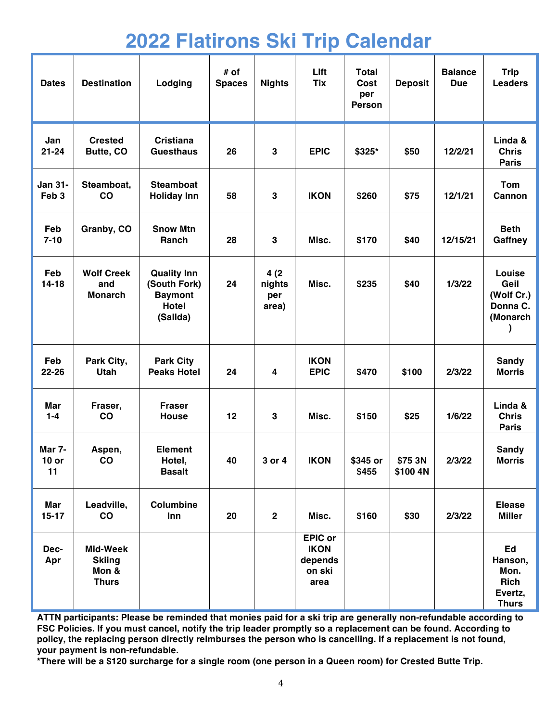# **2022 Flatirons Ski Trip Calendar**

| <b>Dates</b>                       | <b>Destination</b>                                 | Lodging                                                                          | # of<br><b>Spaces</b> | <b>Nights</b>                  | Lift<br><b>Tix</b>                                         | <b>Total</b><br>Cost<br>per<br><b>Person</b> | <b>Deposit</b>      | <b>Balance</b><br><b>Due</b> | <b>Trip</b><br><b>Leaders</b>                            |
|------------------------------------|----------------------------------------------------|----------------------------------------------------------------------------------|-----------------------|--------------------------------|------------------------------------------------------------|----------------------------------------------|---------------------|------------------------------|----------------------------------------------------------|
| Jan<br>$21 - 24$                   | <b>Crested</b><br>Butte, CO                        | <b>Cristiana</b><br><b>Guesthaus</b>                                             | 26                    | 3                              | <b>EPIC</b>                                                | \$325*                                       | \$50                | 12/2/21                      | Linda &<br><b>Chris</b><br><b>Paris</b>                  |
| <b>Jan 31-</b><br>Feb <sub>3</sub> | Steamboat,<br>$\mathbf{CO}$                        | <b>Steamboat</b><br><b>Holiday Inn</b>                                           | 58                    | 3                              | <b>IKON</b>                                                | \$260                                        | \$75                | 12/1/21                      | <b>Tom</b><br>Cannon                                     |
| Feb<br>$7 - 10$                    | Granby, CO                                         | <b>Snow Mtn</b><br>Ranch                                                         | 28                    | 3                              | Misc.                                                      | \$170                                        | \$40                | 12/15/21                     | <b>Beth</b><br>Gaffney                                   |
| Feb<br>$14 - 18$                   | <b>Wolf Creek</b><br>and<br><b>Monarch</b>         | <b>Quality Inn</b><br>(South Fork)<br><b>Baymont</b><br><b>Hotel</b><br>(Salida) | 24                    | 4(2)<br>nights<br>per<br>area) | Misc.                                                      | \$235                                        | \$40                | 1/3/22                       | Louise<br>Geil<br>(Wolf Cr.)<br>Donna C.<br>(Monarch     |
| Feb<br>22-26                       | Park City,<br>Utah                                 | <b>Park City</b><br><b>Peaks Hotel</b>                                           | 24                    | 4                              | <b>IKON</b><br><b>EPIC</b>                                 | \$470                                        | \$100               | 2/3/22                       | <b>Sandy</b><br><b>Morris</b>                            |
| Mar<br>$1 - 4$                     | Fraser,<br>co                                      | <b>Fraser</b><br><b>House</b>                                                    | 12                    | 3                              | Misc.                                                      | \$150                                        | \$25                | 1/6/22                       | Linda &<br><b>Chris</b><br><b>Paris</b>                  |
| Mar 7-<br>$10$ or<br>11            | Aspen,<br>$\mathbf{CO}$                            | <b>Element</b><br>Hotel,<br><b>Basalt</b>                                        | 40                    | 3 or 4                         | <b>IKON</b>                                                | \$345 or<br>\$455                            | \$75 3N<br>\$100 4N | 2/3/22                       | <b>Sandy</b><br><b>Morris</b>                            |
| Mar<br>$15-17$                     | Leadville,<br>$\mathbf{co}$                        | Columbine<br>Inn                                                                 | 20                    | $\mathbf 2$                    | Misc.                                                      | \$160                                        | \$30                | 2/3/22                       | <b>Elease</b><br><b>Miller</b>                           |
| Dec-<br>Apr                        | Mid-Week<br><b>Skiing</b><br>Mon &<br><b>Thurs</b> |                                                                                  |                       |                                | <b>EPIC or</b><br><b>IKON</b><br>depends<br>on ski<br>area |                                              |                     |                              | Ed<br>Hanson,<br>Mon.<br>Rich<br>Evertz,<br><b>Thurs</b> |

**ATTN participants: Please be reminded that monies paid for a ski trip are generally non-refundable according to FSC Policies. If you must cancel, notify the trip leader promptly so a replacement can be found. According to policy, the replacing person directly reimburses the person who is cancelling. If a replacement is not found, your payment is non-refundable.**

**\*There will be a \$120 surcharge for a single room (one person in a Queen room) for Crested Butte Trip.**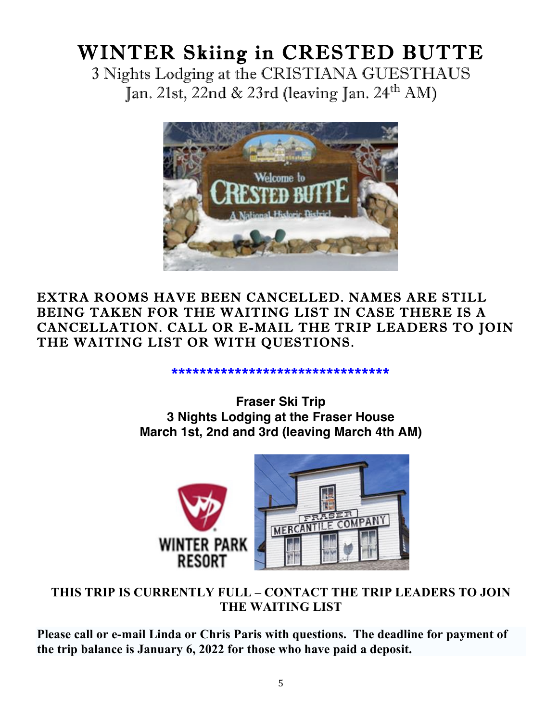# WINTER Skiing in CRESTED BUTTE

3 Nights Lodging at the CRISTIANA GUESTHAUS Jan. 21st, 22nd & 23rd (leaving Jan. 24<sup>th</sup> AM)



EXTRA ROOMS HAVE BEEN CANCELLED. NAMES ARE STILL BEING TAKEN FOR THE WAITING LIST IN CASE THERE IS A CANCELLATION. CALL OR E-MAIL THE TRIP LEADERS TO JOIN THE WAITING LIST OR WITH QUESTIONS.

#### \*\*\*\*\*\*\*\*\*\*\*\*\*\*\*\*\*\*\*\*\*\*\*\*\*\*\*\*\*\*\*

**Fraser Ski Trip 3 Nights Lodging at the Fraser House March 1st, 2nd and 3rd (leaving March 4th AM)**



## **THIS TRIP IS CURRENTLY FULL – CONTACT THE TRIP LEADERS TO JOIN THE WAITING LIST**

**Please call or e-mail Linda or Chris Paris with questions. The deadline for payment of the trip balance is January 6, 2022 for those who have paid a deposit.**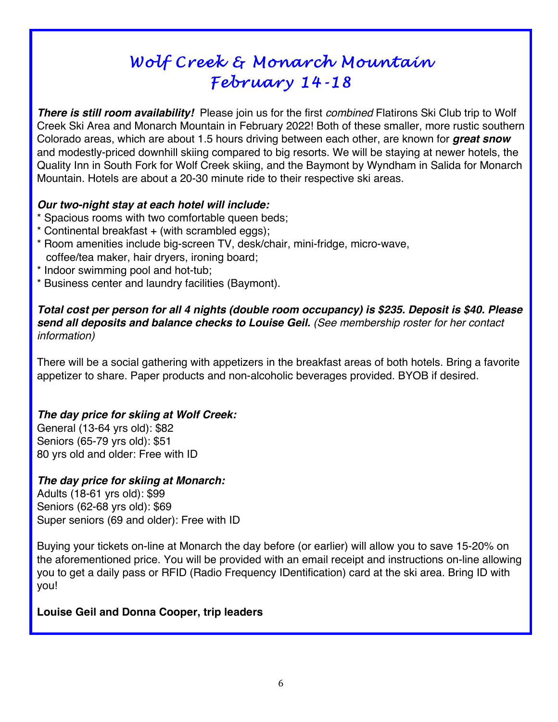## *Wolf Creek & Monarch Mountain February 14-18*

*There is still room availability!* Please join us for the first *combined* Flatirons Ski Club trip to Wolf Creek Ski Area and Monarch Mountain in February 2022! Both of these smaller, more rustic southern Colorado areas, which are about 1.5 hours driving between each other, are known for *great snow* and modestly-priced downhill skiing compared to big resorts. We will be staying at newer hotels, the Quality Inn in South Fork for Wolf Creek skiing, and the Baymont by Wyndham in Salida for Monarch Mountain. Hotels are about a 20-30 minute ride to their respective ski areas.

#### *Our two-night stay at each hotel will include:*

- \* Spacious rooms with two comfortable queen beds;
- \* Continental breakfast + (with scrambled eggs);
- \* Room amenities include big-screen TV, desk/chair, mini-fridge, micro-wave, coffee/tea maker, hair dryers, ironing board;
- \* Indoor swimming pool and hot-tub;
- \* Business center and laundry facilities (Baymont).

#### *Total cost per person for all 4 nights (double room occupancy) is \$235. Deposit is \$40. Please send all deposits and balance checks to Louise Geil. (See membership roster for her contact information)*

There will be a social gathering with appetizers in the breakfast areas of both hotels. Bring a favorite appetizer to share. Paper products and non-alcoholic beverages provided. BYOB if desired.

#### *The day price for skiing at Wolf Creek:*

General (13-64 yrs old): \$82 Seniors (65-79 yrs old): \$51 80 yrs old and older: Free with ID

#### *The day price for skiing at Monarch:*

Adults (18-61 yrs old): \$99 Seniors (62-68 yrs old): \$69 Super seniors (69 and older): Free with ID

Buying your tickets on-line at Monarch the day before (or earlier) will allow you to save 15-20% on the aforementioned price. You will be provided with an email receipt and instructions on-line allowing you to get a daily pass or RFID (Radio Frequency IDentification) card at the ski area. Bring ID with you!

#### **Louise Geil and Donna Cooper, trip leaders**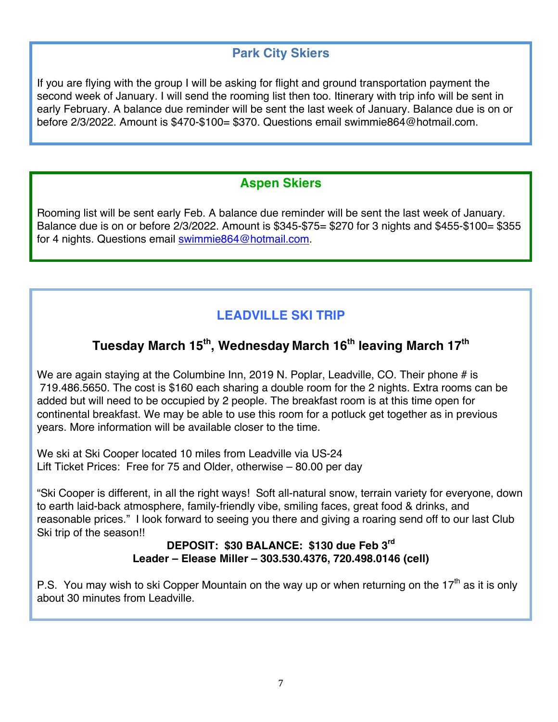## **Park City Skiers**

If you are flying with the group I will be asking for flight and ground transportation payment the second week of January. I will send the rooming list then too. Itinerary with trip info will be sent in early February. A balance due reminder will be sent the last week of January. Balance due is on or before 2/3/2022. Amount is \$470-\$100= \$370. Questions email swimmie864@hotmail.com.

## **Aspen Skiers**

Rooming list will be sent early Feb. A balance due reminder will be sent the last week of January. Balance due is on or before 2/3/2022. Amount is \$345-\$75= \$270 for 3 nights and \$455-\$100= \$355 for 4 nights. Questions email swimmie864@hotmail.com.

## **LEADVILLE SKI TRIP**

## **Tuesday March 15th, Wednesday March 16th leaving March 17th**

We are again staying at the Columbine Inn, 2019 N. Poplar, Leadville, CO. Their phone # is 719.486.5650. The cost is \$160 each sharing a double room for the 2 nights. Extra rooms can be added but will need to be occupied by 2 people. The breakfast room is at this time open for continental breakfast. We may be able to use this room for a potluck get together as in previous years. More information will be available closer to the time.

We ski at Ski Cooper located 10 miles from Leadville via US-24 Lift Ticket Prices: Free for 75 and Older, otherwise – 80.00 per day

"Ski Cooper is different, in all the right ways! Soft all-natural snow, terrain variety for everyone, down to earth laid-back atmosphere, family-friendly vibe, smiling faces, great food & drinks, and reasonable prices." I look forward to seeing you there and giving a roaring send off to our last Club Ski trip of the season!!

#### **DEPOSIT: \$30 BALANCE: \$130 due Feb 3rd Leader – Elease Miller – 303.530.4376, 720.498.0146 (cell)**

P.S. You may wish to ski Copper Mountain on the way up or when returning on the 17<sup>th</sup> as it is only about 30 minutes from Leadville.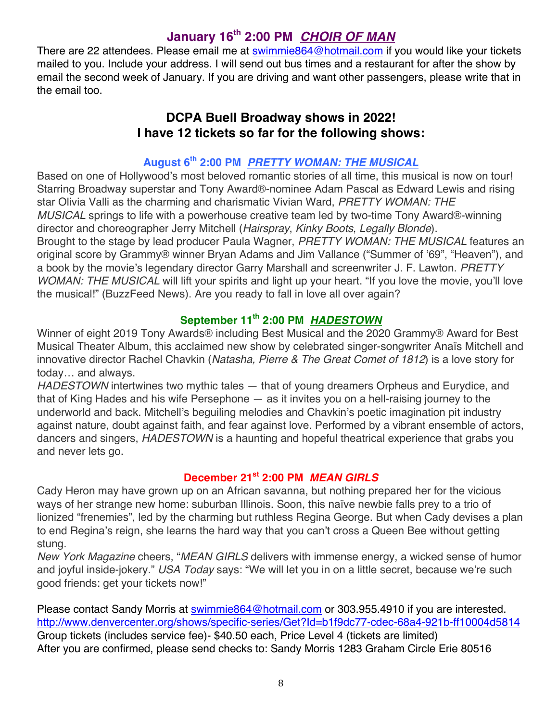## **January 16th 2:00 PM** *CHOIR OF MAN*

There are 22 attendees. Please email me at swimmie864@hotmail.com if you would like your tickets mailed to you. Include your address. I will send out bus times and a restaurant for after the show by email the second week of January. If you are driving and want other passengers, please write that in the email too.

### **DCPA Buell Broadway shows in 2022! I have 12 tickets so far for the following shows:**

## **August 6th 2:00 PM** *PRETTY WOMAN: THE MUSICAL*

Based on one of Hollywood's most beloved romantic stories of all time, this musical is now on tour! Starring Broadway superstar and Tony Award®-nominee Adam Pascal as Edward Lewis and rising star Olivia Valli as the charming and charismatic Vivian Ward, *PRETTY WOMAN: THE MUSICAL* springs to life with a powerhouse creative team led by two-time Tony Award®-winning director and choreographer Jerry Mitchell (*Hairspray*, *Kinky Boots*, *Legally Blonde*). Brought to the stage by lead producer Paula Wagner, *PRETTY WOMAN: THE MUSICAL* features an original score by Grammy® winner Bryan Adams and Jim Vallance ("Summer of '69", "Heaven"), and a book by the movie's legendary director Garry Marshall and screenwriter J. F. Lawton. *PRETTY WOMAN: THE MUSICAL* will lift your spirits and light up your heart. "If you love the movie, you'll love the musical!" (BuzzFeed News). Are you ready to fall in love all over again?

### **September 11th 2:00 PM** *HADESTOWN*

Winner of eight 2019 Tony Awards® including Best Musical and the 2020 Grammy® Award for Best Musical Theater Album, this acclaimed new show by celebrated singer-songwriter Anaïs Mitchell and innovative director Rachel Chavkin (*Natasha, Pierre & The Great Comet of 1812*) is a love story for today… and always.

*HADESTOWN* intertwines two mythic tales — that of young dreamers Orpheus and Eurydice, and that of King Hades and his wife Persephone — as it invites you on a hell-raising journey to the underworld and back. Mitchell's beguiling melodies and Chavkin's poetic imagination pit industry against nature, doubt against faith, and fear against love. Performed by a vibrant ensemble of actors, dancers and singers, *HADESTOWN* is a haunting and hopeful theatrical experience that grabs you and never lets go.

#### **December 21st 2:00 PM** *MEAN GIRLS*

Cady Heron may have grown up on an African savanna, but nothing prepared her for the vicious ways of her strange new home: suburban Illinois. Soon, this naïve newbie falls prey to a trio of lionized "frenemies", led by the charming but ruthless Regina George. But when Cady devises a plan to end Regina's reign, she learns the hard way that you can't cross a Queen Bee without getting stung.

*New York Magazine* cheers, "*MEAN GIRLS* delivers with immense energy, a wicked sense of humor and joyful inside-jokery." *USA Today* says: "We will let you in on a little secret, because we're such good friends: get your tickets now!"

Please contact Sandy Morris at swimmie864@hotmail.com or 303.955.4910 if you are interested. http://www.denvercenter.org/shows/specific-series/Get?Id=b1f9dc77-cdec-68a4-921b-ff10004d5814 Group tickets (includes service fee)- \$40.50 each, Price Level 4 (tickets are limited) After you are confirmed, please send checks to: Sandy Morris 1283 Graham Circle Erie 80516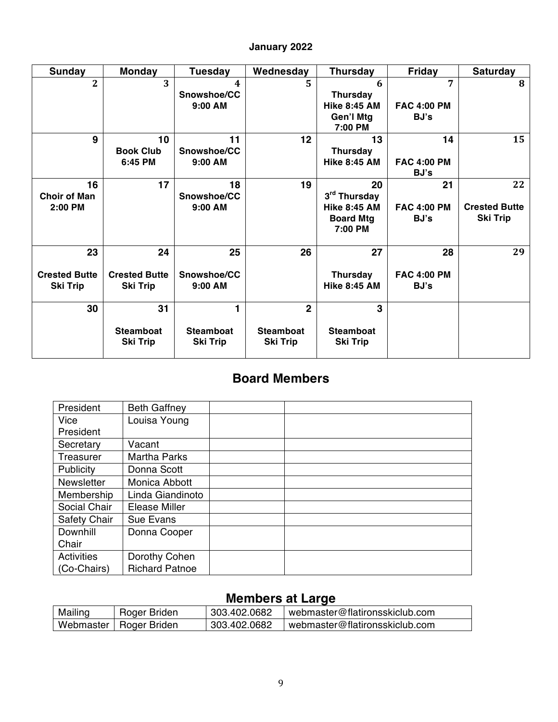#### **January 2022**

| <b>Sunday</b>                                 | <b>Monday</b>                                 | <b>Tuesday</b>                           | Wednesday                                             | <b>Thursday</b>                                                          | Friday                           | <b>Saturday</b>                               |
|-----------------------------------------------|-----------------------------------------------|------------------------------------------|-------------------------------------------------------|--------------------------------------------------------------------------|----------------------------------|-----------------------------------------------|
| 2                                             | $\overline{3}$                                | 4<br>Snowshoe/CC<br>$9:00$ AM            | 5                                                     | 6<br><b>Thursday</b><br><b>Hike 8:45 AM</b><br>Gen'l Mtg<br>7:00 PM      | 7<br><b>FAC 4:00 PM</b><br>BJ's  | 8                                             |
| 9                                             | 10<br><b>Book Club</b><br>6:45 PM             | 11<br>Snowshoe/CC<br>$9:00$ AM           | $12 \,$                                               | 13<br><b>Thursday</b><br><b>Hike 8:45 AM</b>                             | 14<br><b>FAC 4:00 PM</b><br>BJ's | 15                                            |
| 16<br><b>Choir of Man</b><br>2:00 PM          | 17                                            | 18<br>Snowshoe/CC<br>$9:00$ AM           | 19                                                    | 20<br>3rd Thursday<br><b>Hike 8:45 AM</b><br><b>Board Mtg</b><br>7:00 PM | 21<br><b>FAC 4:00 PM</b><br>BJ's | 22<br><b>Crested Butte</b><br><b>Ski Trip</b> |
| 23<br><b>Crested Butte</b><br><b>Ski Trip</b> | 24<br><b>Crested Butte</b><br><b>Ski Trip</b> | 25<br>Snowshoe/CC<br>9:00 AM             | 26                                                    | 27<br><b>Thursday</b><br><b>Hike 8:45 AM</b>                             | 28<br><b>FAC 4:00 PM</b><br>BJ's | 29                                            |
| 30                                            | 31<br><b>Steamboat</b><br><b>Ski Trip</b>     | 1<br><b>Steamboat</b><br><b>Ski Trip</b> | $\overline{2}$<br><b>Steamboat</b><br><b>Ski Trip</b> | $\overline{3}$<br><b>Steamboat</b><br><b>Ski Trip</b>                    |                                  |                                               |

## **Board Members**

| President         | <b>Beth Gaffney</b>   |  |
|-------------------|-----------------------|--|
| Vice              | Louisa Young          |  |
| President         |                       |  |
| Secretary         | Vacant                |  |
| Treasurer         | <b>Martha Parks</b>   |  |
| Publicity         | Donna Scott           |  |
| <b>Newsletter</b> | Monica Abbott         |  |
| Membership        | Linda Giandinoto      |  |
| Social Chair      | Elease Miller         |  |
| Safety Chair      | Sue Evans             |  |
| <b>Downhill</b>   | Donna Cooper          |  |
| Chair             |                       |  |
| <b>Activities</b> | Dorothy Cohen         |  |
| (Co-Chairs)       | <b>Richard Patnoe</b> |  |

## **Members at Large**

| Mailing | Roger Briden             | 303.402.0682 | l webmaster@flatironsskiclub.com |
|---------|--------------------------|--------------|----------------------------------|
|         | Webmaster   Roger Briden | 303.402.0682 | webmaster@flatironsskiclub.com   |